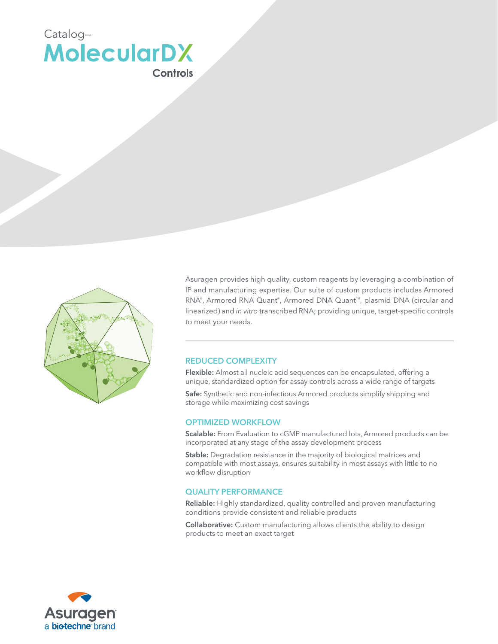



Asuragen provides high quality, custom reagents by leveraging a combination of IP and manufacturing expertise. Our suite of custom products includes Armored RNA®, Armored RNA Quant®, Armored DNA Quant™, plasmid DNA (circular and linearized) and *in vitro* transcribed RNA; providing unique, target-specific controls to meet your needs.

## REDUCED COMPLEXITY

Flexible: Almost all nucleic acid sequences can be encapsulated, offering a unique, standardized option for assay controls across a wide range of targets

Safe: Synthetic and non-infectious Armored products simplify shipping and storage while maximizing cost savings

#### OPTIMIZED WORKFLOW

Scalable: From Evaluation to cGMP manufactured lots, Armored products can be incorporated at any stage of the assay development process

Stable: Degradation resistance in the majority of biological matrices and compatible with most assays, ensures suitability in most assays with little to no workflow disruption

#### QUALITY PERFORMANCE

Reliable: Highly standardized, quality controlled and proven manufacturing conditions provide consistent and reliable products

Collaborative: Custom manufacturing allows clients the ability to design products to meet an exact target